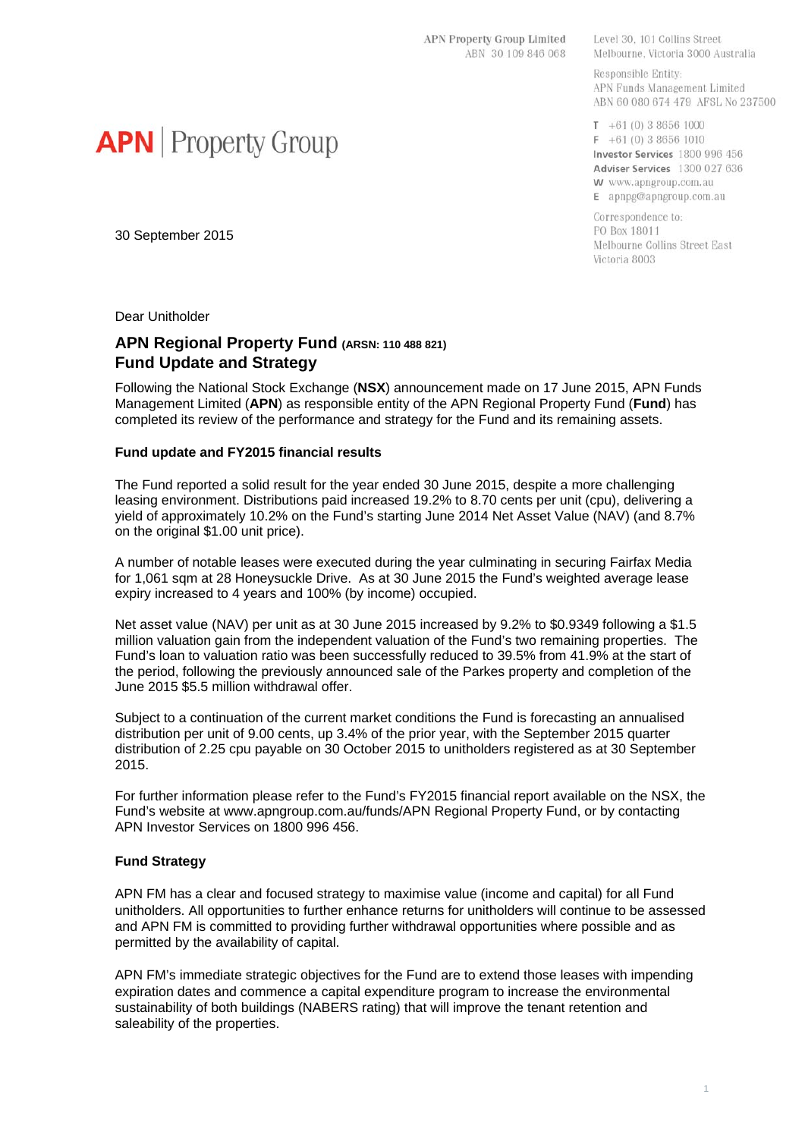APN Property Group Limited ABN 30 109 846 068

Level 30, 101 Collins Street Melbourne, Victoria 3000 Australia

Responsible Entity: APN Funds Management Limited ABN 60 080 674 479 AFSL No 237500

 $T + 61(0)386561000$  $F + 61(0) 3 8656 1010$ Investor Services 1800 996 456 Adviser Services 1300 027 636 W www.apngroup.com.au E apnpg@apngroup.com.au

Correspondence to: PO Box 18011 Melbourne Collins Street East Victoria 8003

**APN** Property Group

30 September 2015

Dear Unitholder

# **APN Regional Property Fund (ARSN: 110 488 821) Fund Update and Strategy**

Following the National Stock Exchange (**NSX**) announcement made on 17 June 2015, APN Funds Management Limited (**APN**) as responsible entity of the APN Regional Property Fund (**Fund**) has completed its review of the performance and strategy for the Fund and its remaining assets.

### **Fund update and FY2015 financial results**

The Fund reported a solid result for the year ended 30 June 2015, despite a more challenging leasing environment. Distributions paid increased 19.2% to 8.70 cents per unit (cpu), delivering a yield of approximately 10.2% on the Fund's starting June 2014 Net Asset Value (NAV) (and 8.7% on the original \$1.00 unit price).

A number of notable leases were executed during the year culminating in securing Fairfax Media for 1,061 sqm at 28 Honeysuckle Drive. As at 30 June 2015 the Fund's weighted average lease expiry increased to 4 years and 100% (by income) occupied.

Net asset value (NAV) per unit as at 30 June 2015 increased by 9.2% to \$0.9349 following a \$1.5 million valuation gain from the independent valuation of the Fund's two remaining properties. The Fund's loan to valuation ratio was been successfully reduced to 39.5% from 41.9% at the start of the period, following the previously announced sale of the Parkes property and completion of the June 2015 \$5.5 million withdrawal offer.

Subject to a continuation of the current market conditions the Fund is forecasting an annualised distribution per unit of 9.00 cents, up 3.4% of the prior year, with the September 2015 quarter distribution of 2.25 cpu payable on 30 October 2015 to unitholders registered as at 30 September 2015.

For further information please refer to the Fund's FY2015 financial report available on the NSX, the Fund's website at www.apngroup.com.au/funds/APN Regional Property Fund, or by contacting APN Investor Services on 1800 996 456.

### **Fund Strategy**

APN FM has a clear and focused strategy to maximise value (income and capital) for all Fund unitholders. All opportunities to further enhance returns for unitholders will continue to be assessed and APN FM is committed to providing further withdrawal opportunities where possible and as permitted by the availability of capital.

APN FM's immediate strategic objectives for the Fund are to extend those leases with impending expiration dates and commence a capital expenditure program to increase the environmental sustainability of both buildings (NABERS rating) that will improve the tenant retention and saleability of the properties.

#### 1